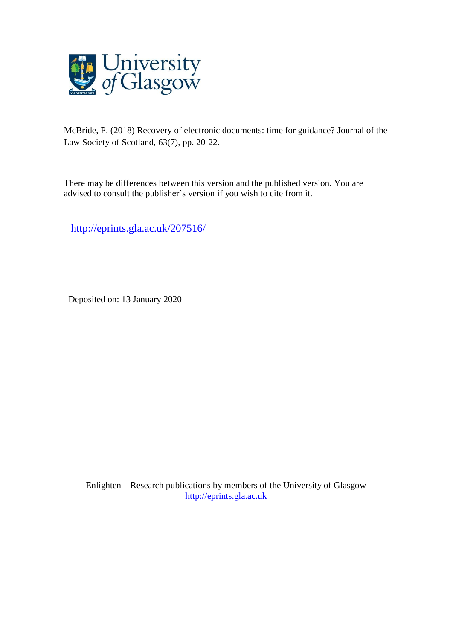

McBride, P. (2018) Recovery of electronic documents: time for guidance? Journal of the Law Society of Scotland, 63(7), pp. 20-22.

There may be differences between this version and the published version. You are advised to consult the publisher's version if you wish to cite from it.

<http://eprints.gla.ac.uk/207516/>

Deposited on: 13 January 2020

Enlighten – Research publications by members of the University of Glasgow [http://eprints.gla.ac.uk](http://eprints.gla.ac.uk/)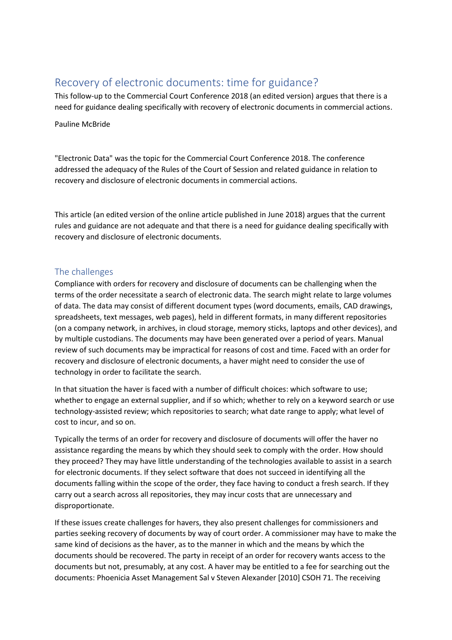# Recovery of electronic documents: time for guidance?

This follow-up to the Commercial Court Conference 2018 (an edited version) argues that there is a need for guidance dealing specifically with recovery of electronic documents in commercial actions.

#### Pauline McBride

"Electronic Data" was the topic for the Commercial Court Conference 2018. The conference addressed the adequacy of the Rules of the Court of Session and related guidance in relation to recovery and disclosure of electronic documents in commercial actions.

This article (an edited version of the online article published in June 2018) argues that the current rules and guidance are not adequate and that there is a need for guidance dealing specifically with recovery and disclosure of electronic documents.

## The challenges

Compliance with orders for recovery and disclosure of documents can be challenging when the terms of the order necessitate a search of electronic data. The search might relate to large volumes of data. The data may consist of different document types (word documents, emails, CAD drawings, spreadsheets, text messages, web pages), held in different formats, in many different repositories (on a company network, in archives, in cloud storage, memory sticks, laptops and other devices), and by multiple custodians. The documents may have been generated over a period of years. Manual review of such documents may be impractical for reasons of cost and time. Faced with an order for recovery and disclosure of electronic documents, a haver might need to consider the use of technology in order to facilitate the search.

In that situation the haver is faced with a number of difficult choices: which software to use; whether to engage an external supplier, and if so which; whether to rely on a keyword search or use technology-assisted review; which repositories to search; what date range to apply; what level of cost to incur, and so on.

Typically the terms of an order for recovery and disclosure of documents will offer the haver no assistance regarding the means by which they should seek to comply with the order. How should they proceed? They may have little understanding of the technologies available to assist in a search for electronic documents. If they select software that does not succeed in identifying all the documents falling within the scope of the order, they face having to conduct a fresh search. If they carry out a search across all repositories, they may incur costs that are unnecessary and disproportionate.

If these issues create challenges for havers, they also present challenges for commissioners and parties seeking recovery of documents by way of court order. A commissioner may have to make the same kind of decisions as the haver, as to the manner in which and the means by which the documents should be recovered. The party in receipt of an order for recovery wants access to the documents but not, presumably, at any cost. A haver may be entitled to a fee for searching out the documents: Phoenicia Asset Management Sal v Steven Alexander [2010] CSOH 71. The receiving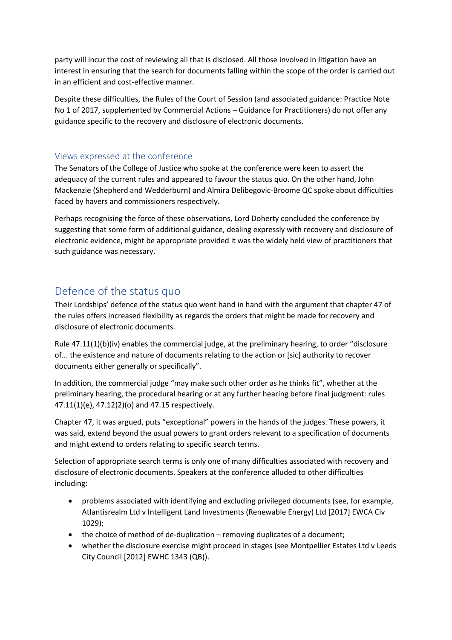party will incur the cost of reviewing all that is disclosed. All those involved in litigation have an interest in ensuring that the search for documents falling within the scope of the order is carried out in an efficient and cost-effective manner.

Despite these difficulties, the Rules of the Court of Session (and associated guidance: Practice Note No 1 of 2017, supplemented by Commercial Actions – Guidance for Practitioners) do not offer any guidance specific to the recovery and disclosure of electronic documents.

## Views expressed at the conference

The Senators of the College of Justice who spoke at the conference were keen to assert the adequacy of the current rules and appeared to favour the status quo. On the other hand, John Mackenzie (Shepherd and Wedderburn) and Almira Delibegovic-Broome QC spoke about difficulties faced by havers and commissioners respectively.

Perhaps recognising the force of these observations, Lord Doherty concluded the conference by suggesting that some form of additional guidance, dealing expressly with recovery and disclosure of electronic evidence, might be appropriate provided it was the widely held view of practitioners that such guidance was necessary.

# Defence of the status quo

Their Lordships' defence of the status quo went hand in hand with the argument that chapter 47 of the rules offers increased flexibility as regards the orders that might be made for recovery and disclosure of electronic documents.

Rule 47.11(1)(b)(iv) enables the commercial judge, at the preliminary hearing, to order "disclosure of... the existence and nature of documents relating to the action or [sic] authority to recover documents either generally or specifically".

In addition, the commercial judge "may make such other order as he thinks fit", whether at the preliminary hearing, the procedural hearing or at any further hearing before final judgment: rules 47.11(1)(e), 47.12(2)(o) and 47.15 respectively.

Chapter 47, it was argued, puts "exceptional" powers in the hands of the judges. These powers, it was said, extend beyond the usual powers to grant orders relevant to a specification of documents and might extend to orders relating to specific search terms.

Selection of appropriate search terms is only one of many difficulties associated with recovery and disclosure of electronic documents. Speakers at the conference alluded to other difficulties including:

- problems associated with identifying and excluding privileged documents (see, for example, Atlantisrealm Ltd v Intelligent Land Investments (Renewable Energy) Ltd [2017] EWCA Civ 1029);
- the choice of method of de-duplication removing duplicates of a document;
- whether the disclosure exercise might proceed in stages (see Montpellier Estates Ltd v Leeds City Council [2012] EWHC 1343 (QB)).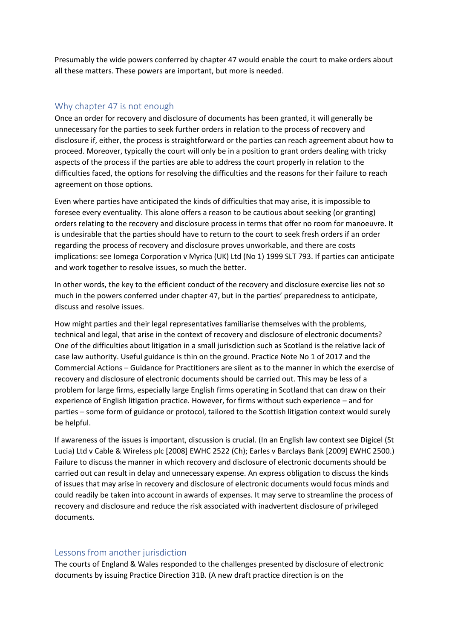Presumably the wide powers conferred by chapter 47 would enable the court to make orders about all these matters. These powers are important, but more is needed.

### Why chapter 47 is not enough

Once an order for recovery and disclosure of documents has been granted, it will generally be unnecessary for the parties to seek further orders in relation to the process of recovery and disclosure if, either, the process is straightforward or the parties can reach agreement about how to proceed. Moreover, typically the court will only be in a position to grant orders dealing with tricky aspects of the process if the parties are able to address the court properly in relation to the difficulties faced, the options for resolving the difficulties and the reasons for their failure to reach agreement on those options.

Even where parties have anticipated the kinds of difficulties that may arise, it is impossible to foresee every eventuality. This alone offers a reason to be cautious about seeking (or granting) orders relating to the recovery and disclosure process in terms that offer no room for manoeuvre. It is undesirable that the parties should have to return to the court to seek fresh orders if an order regarding the process of recovery and disclosure proves unworkable, and there are costs implications: see Iomega Corporation v Myrica (UK) Ltd (No 1) 1999 SLT 793. If parties can anticipate and work together to resolve issues, so much the better.

In other words, the key to the efficient conduct of the recovery and disclosure exercise lies not so much in the powers conferred under chapter 47, but in the parties' preparedness to anticipate, discuss and resolve issues.

How might parties and their legal representatives familiarise themselves with the problems, technical and legal, that arise in the context of recovery and disclosure of electronic documents? One of the difficulties about litigation in a small jurisdiction such as Scotland is the relative lack of case law authority. Useful guidance is thin on the ground. Practice Note No 1 of 2017 and the Commercial Actions – Guidance for Practitioners are silent as to the manner in which the exercise of recovery and disclosure of electronic documents should be carried out. This may be less of a problem for large firms, especially large English firms operating in Scotland that can draw on their experience of English litigation practice. However, for firms without such experience – and for parties – some form of guidance or protocol, tailored to the Scottish litigation context would surely be helpful.

If awareness of the issues is important, discussion is crucial. (In an English law context see Digicel (St Lucia) Ltd v Cable & Wireless plc [2008] EWHC 2522 (Ch); Earles v Barclays Bank [2009] EWHC 2500.) Failure to discuss the manner in which recovery and disclosure of electronic documents should be carried out can result in delay and unnecessary expense. An express obligation to discuss the kinds of issues that may arise in recovery and disclosure of electronic documents would focus minds and could readily be taken into account in awards of expenses. It may serve to streamline the process of recovery and disclosure and reduce the risk associated with inadvertent disclosure of privileged documents.

### Lessons from another jurisdiction

The courts of England & Wales responded to the challenges presented by disclosure of electronic documents by issuing Practice Direction 31B. (A new draft practice direction is on the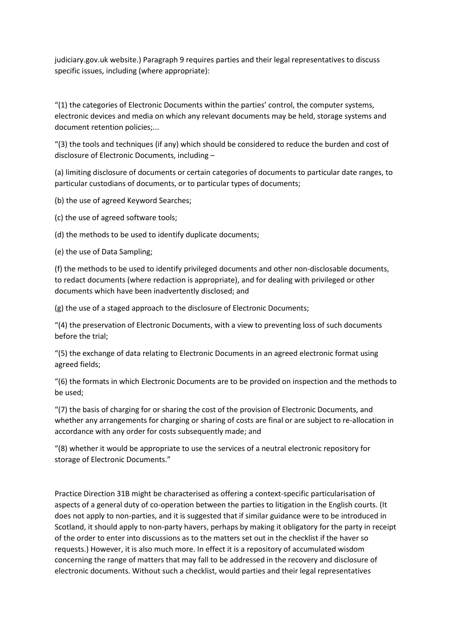judiciary.gov.uk website.) Paragraph 9 requires parties and their legal representatives to discuss specific issues, including (where appropriate):

"(1) the categories of Electronic Documents within the parties' control, the computer systems, electronic devices and media on which any relevant documents may be held, storage systems and document retention policies;...

"(3) the tools and techniques (if any) which should be considered to reduce the burden and cost of disclosure of Electronic Documents, including –

(a) limiting disclosure of documents or certain categories of documents to particular date ranges, to particular custodians of documents, or to particular types of documents;

(b) the use of agreed Keyword Searches;

(c) the use of agreed software tools;

(d) the methods to be used to identify duplicate documents;

(e) the use of Data Sampling;

(f) the methods to be used to identify privileged documents and other non-disclosable documents, to redact documents (where redaction is appropriate), and for dealing with privileged or other documents which have been inadvertently disclosed; and

(g) the use of a staged approach to the disclosure of Electronic Documents;

"(4) the preservation of Electronic Documents, with a view to preventing loss of such documents before the trial;

"(5) the exchange of data relating to Electronic Documents in an agreed electronic format using agreed fields;

"(6) the formats in which Electronic Documents are to be provided on inspection and the methods to be used;

"(7) the basis of charging for or sharing the cost of the provision of Electronic Documents, and whether any arrangements for charging or sharing of costs are final or are subject to re-allocation in accordance with any order for costs subsequently made; and

"(8) whether it would be appropriate to use the services of a neutral electronic repository for storage of Electronic Documents."

Practice Direction 31B might be characterised as offering a context-specific particularisation of aspects of a general duty of co-operation between the parties to litigation in the English courts. (It does not apply to non-parties, and it is suggested that if similar guidance were to be introduced in Scotland, it should apply to non-party havers, perhaps by making it obligatory for the party in receipt of the order to enter into discussions as to the matters set out in the checklist if the haver so requests.) However, it is also much more. In effect it is a repository of accumulated wisdom concerning the range of matters that may fall to be addressed in the recovery and disclosure of electronic documents. Without such a checklist, would parties and their legal representatives